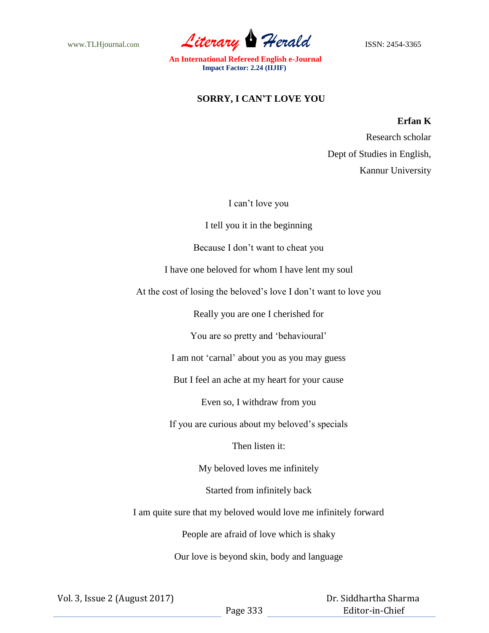www.TLHjournal.com *Literary* Herald **ISSN: 2454-3365** 

**An International Refereed English e-Journal Impact Factor: 2.24 (IIJIF)**

## **SORRY, I CAN'T LOVE YOU**

## **Erfan K**

 Research scholar Dept of Studies in English, Kannur University

I can't love you

I tell you it in the beginning

Because I don't want to cheat you

I have one beloved for whom I have lent my soul

At the cost of losing the beloved's love I don't want to love you

Really you are one I cherished for

You are so pretty and 'behavioural'

I am not 'carnal' about you as you may guess

But I feel an ache at my heart for your cause

Even so, I withdraw from you

If you are curious about my beloved's specials

Then listen it:

My beloved loves me infinitely

Started from infinitely back

I am quite sure that my beloved would love me infinitely forward

People are afraid of love which is shaky

Our love is beyond skin, body and language

Vol. 3, Issue 2 (August 2017)

 Dr. Siddhartha Sharma Editor-in-Chief